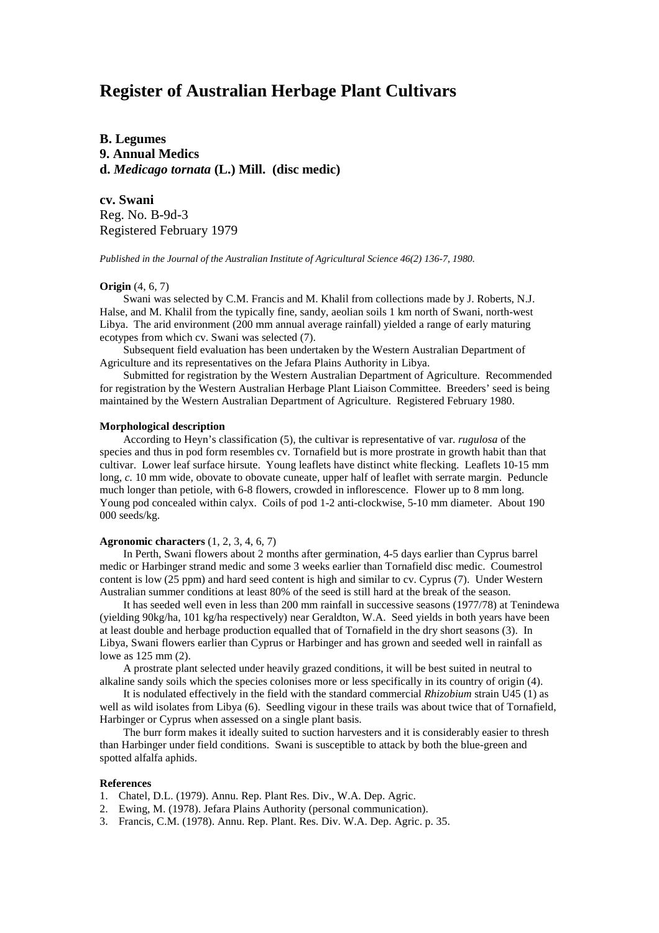# **Register of Australian Herbage Plant Cultivars**

**B. Legumes 9. Annual Medics d.** *Medicago tornata* **(L.) Mill. (disc medic)**

**cv. Swani** Reg. No. B-9d-3 Registered February 1979

*Published in the Journal of the Australian Institute of Agricultural Science 46(2) 136-7, 1980.*

# **Origin** (4, 6, 7)

Swani was selected by C.M. Francis and M. Khalil from collections made by J. Roberts, N.J. Halse, and M. Khalil from the typically fine, sandy, aeolian soils 1 km north of Swani, north-west Libya. The arid environment (200 mm annual average rainfall) yielded a range of early maturing ecotypes from which cv. Swani was selected (7).

Subsequent field evaluation has been undertaken by the Western Australian Department of Agriculture and its representatives on the Jefara Plains Authority in Libya.

Submitted for registration by the Western Australian Department of Agriculture. Recommended for registration by the Western Australian Herbage Plant Liaison Committee. Breeders' seed is being maintained by the Western Australian Department of Agriculture. Registered February 1980.

#### **Morphological description**

According to Heyn's classification (5), the cultivar is representative of var. *rugulosa* of the species and thus in pod form resembles cv. Tornafield but is more prostrate in growth habit than that cultivar. Lower leaf surface hirsute. Young leaflets have distinct white flecking. Leaflets 10-15 mm long,  $c$ . 10 mm wide, obovate to obovate cuneate, upper half of leaflet with serrate margin. Peduncle much longer than petiole, with 6-8 flowers, crowded in inflorescence. Flower up to 8 mm long. Young pod concealed within calyx. Coils of pod 1-2 anti-clockwise, 5-10 mm diameter. About 190 000 seeds/kg.

## **Agronomic characters** (1, 2, 3, 4, 6, 7)

In Perth, Swani flowers about 2 months after germination, 4-5 days earlier than Cyprus barrel medic or Harbinger strand medic and some 3 weeks earlier than Tornafield disc medic. Coumestrol content is low (25 ppm) and hard seed content is high and similar to cv. Cyprus (7). Under Western Australian summer conditions at least 80% of the seed is still hard at the break of the season.

It has seeded well even in less than 200 mm rainfall in successive seasons (1977/78) at Tenindewa (yielding 90kg/ha, 101 kg/ha respectively) near Geraldton, W.A. Seed yields in both years have been at least double and herbage production equalled that of Tornafield in the dry short seasons (3). In Libya, Swani flowers earlier than Cyprus or Harbinger and has grown and seeded well in rainfall as lowe as 125 mm (2).

A prostrate plant selected under heavily grazed conditions, it will be best suited in neutral to alkaline sandy soils which the species colonises more or less specifically in its country of origin (4).

It is nodulated effectively in the field with the standard commercial *Rhizobium* strain U45 (1) as well as wild isolates from Libya (6). Seedling vigour in these trails was about twice that of Tornafield, Harbinger or Cyprus when assessed on a single plant basis.

The burr form makes it ideally suited to suction harvesters and it is considerably easier to thresh than Harbinger under field conditions. Swani is susceptible to attack by both the blue-green and spotted alfalfa aphids.

### **References**

- 1. Chatel, D.L. (1979). Annu. Rep. Plant Res. Div., W.A. Dep. Agric.
- 2. Ewing, M. (1978). Jefara Plains Authority (personal communication).
- 3. Francis, C.M. (1978). Annu. Rep. Plant. Res. Div. W.A. Dep. Agric. p. 35.